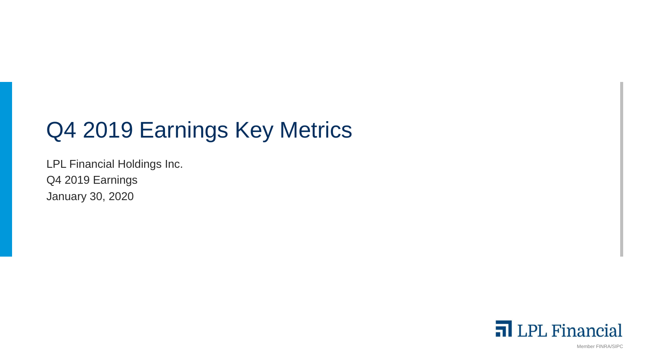# Q4 2019 Earnings Key Metrics

LPL Financial Holdings Inc. Q4 2019 Earnings January 30, 2020



Member FINRA/SIPC 1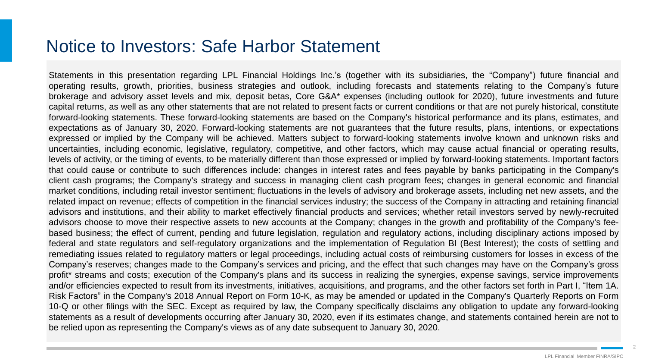### Notice to Investors: Safe Harbor Statement

Statements in this presentation regarding LPL Financial Holdings Inc.'s (together with its subsidiaries, the "Company") future financial and operating results, growth, priorities, business strategies and outlook, including forecasts and statements relating to the Company's future brokerage and advisory asset levels and mix, deposit betas, Core G&A\* expenses (including outlook for 2020), future investments and future capital returns, as well as any other statements that are not related to present facts or current conditions or that are not purely historical, constitute forward-looking statements. These forward-looking statements are based on the Company's historical performance and its plans, estimates, and expectations as of January 30, 2020. Forward-looking statements are not guarantees that the future results, plans, intentions, or expectations expressed or implied by the Company will be achieved. Matters subject to forward-looking statements involve known and unknown risks and uncertainties, including economic, legislative, regulatory, competitive, and other factors, which may cause actual financial or operating results, levels of activity, or the timing of events, to be materially different than those expressed or implied by forward-looking statements. Important factors that could cause or contribute to such differences include: changes in interest rates and fees payable by banks participating in the Company's client cash programs; the Company's strategy and success in managing client cash program fees; changes in general economic and financial market conditions, including retail investor sentiment; fluctuations in the levels of advisory and brokerage assets, including net new assets, and the related impact on revenue; effects of competition in the financial services industry; the success of the Company in attracting and retaining financial advisors and institutions, and their ability to market effectively financial products and services; whether retail investors served by newly-recruited advisors choose to move their respective assets to new accounts at the Company; changes in the growth and profitability of the Company's feebased business; the effect of current, pending and future legislation, regulation and regulatory actions, including disciplinary actions imposed by federal and state regulators and self-regulatory organizations and the implementation of Regulation BI (Best Interest); the costs of settling and remediating issues related to regulatory matters or legal proceedings, including actual costs of reimbursing customers for losses in excess of the Company's reserves; changes made to the Company's services and pricing, and the effect that such changes may have on the Company's gross profit\* streams and costs; execution of the Company's plans and its success in realizing the synergies, expense savings, service improvements and/or efficiencies expected to result from its investments, initiatives, acquisitions, and programs, and the other factors set forth in Part I, "Item 1A. Risk Factors" in the Company's 2018 Annual Report on Form 10-K, as may be amended or updated in the Company's Quarterly Reports on Form 10-Q or other filings with the SEC. Except as required by law, the Company specifically disclaims any obligation to update any forward-looking statements as a result of developments occurring after January 30, 2020, even if its estimates change, and statements contained herein are not to be relied upon as representing the Company's views as of any date subsequent to January 30, 2020.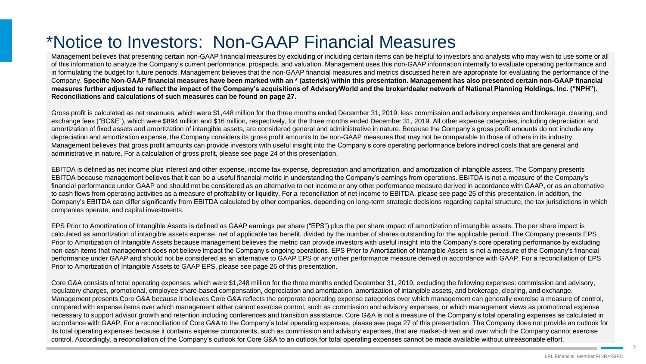## \*Notice to Investors: Non-GAAP Financial Measures

Management believes that presenting certain non-GAAP financial measures by excluding or including certain items can be helpful to investors and analysts who may wish to use some or all of this information to analyze the Company's current performance, prospects, and valuation. Management uses this non-GAAP information internally to evaluate operating performance and in formulating the budget for future periods. Management believes that the non-GAAP financial measures and metrics discussed herein are appropriate for evaluating the performance of the Company. **Specific Non-GAAP financial measures have been marked with an \* (asterisk) within this presentation. Management has also presented certain non-GAAP financial measures further adjusted to reflect the impact of the Company's acquisitions of AdvisoryWorld and the broker/dealer network of National Planning Holdings, Inc. ("NPH"). Reconciliations and calculations of such measures can be found on page 27.**

Gross profit is calculated as net revenues, which were \$1,448 million for the three months ended December 31, 2019, less commission and advisory expenses and brokerage, clearing, and exchange fees ("BC&E"), which were \$894 million and \$16 million, respectively, for the three months ended December 31, 2019. All other expense categories, including depreciation and amortization of fixed assets and amortization of intangible assets, are considered general and administrative in nature. Because the Company's gross profit amounts do not include any depreciation and amortization expense, the Company considers its gross profit amounts to be non-GAAP measures that may not be comparable to those of others in its industry. Management believes that gross profit amounts can provide investors with useful insight into the Company's core operating performance before indirect costs that are general and administrative in nature. For a calculation of gross profit, please see page 24 of this presentation.

EBITDA is defined as net income plus interest and other expense, income tax expense, depreciation and amortization, and amortization of intangible assets. The Company presents EBITDA because management believes that it can be a useful financial metric in understanding the Company's earnings from operations. EBITDA is not a measure of the Company's financial performance under GAAP and should not be considered as an alternative to net income or any other performance measure derived in accordance with GAAP, or as an alternative to cash flows from operating activities as a measure of profitability or liquidity. For a reconciliation of net income to EBITDA, please see page 25 of this presentation. In addition, the Company's EBITDA can differ significantly from EBITDA calculated by other companies, depending on long-term strategic decisions regarding capital structure, the tax jurisdictions in which companies operate, and capital investments.

EPS Prior to Amortization of Intangible Assets is defined as GAAP earnings per share ("EPS") plus the per share impact of amortization of intangible assets. The per share impact is calculated as amortization of intangible assets expense, net of applicable tax benefit, divided by the number of shares outstanding for the applicable period. The Company presents EPS Prior to Amortization of Intangible Assets because management believes the metric can provide investors with useful insight into the Company's core operating performance by excluding non-cash items that management does not believe impact the Company's ongoing operations. EPS Prior to Amortization of Intangible Assets is not a measure of the Company's financial performance under GAAP and should not be considered as an alternative to GAAP EPS or any other performance measure derived in accordance with GAAP. For a reconciliation of EPS Prior to Amortization of Intangible Assets to GAAP EPS, please see page 26 of this presentation.

Core G&A consists of total operating expenses, which were \$1,248 million for the three months ended December 31, 2019, excluding the following expenses: commission and advisory, regulatory charges, promotional, employee share-based compensation, depreciation and amortization, amortization of intangible assets, and brokerage, clearing, and exchange. Management presents Core G&A because it believes Core G&A reflects the corporate operating expense categories over which management can generally exercise a measure of control, compared with expense items over which management either cannot exercise control, such as commission and advisory expenses, or which management views as promotional expense necessary to support advisor growth and retention including conferences and transition assistance. Core G&A is not a measure of the Company's total operating expenses as calculated in accordance with GAAP. For a reconciliation of Core G&A to the Company's total operating expenses, please see page 27 of this presentation. The Company does not provide an outlook for its total operating expenses because it contains expense components, such as commission and advisory expenses, that are market-driven and over which the Company cannot exercise control. Accordingly, a reconciliation of the Company's outlook for Core G&A to an outlook for total operating expenses cannot be made available without unreasonable effort.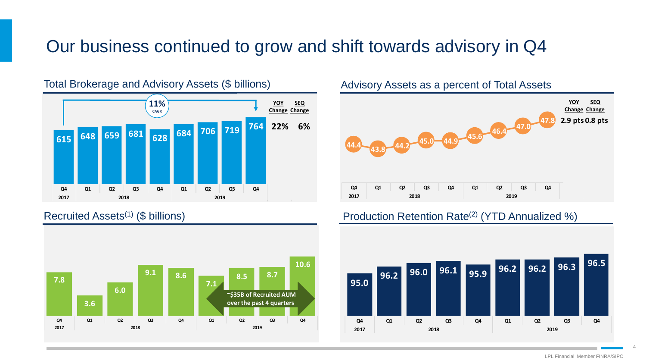### Our business continued to grow and shift towards advisory in Q4



#### Total Brokerage and Advisory Assets (\$ billions) Madvisory Assets as a percent of Total Assets





#### Recruited Assets<sup>(1)</sup> (\$ billions) **Production Retention Rate<sup>(2)</sup> (YTD Annualized %)**



LPL Financial Member FINRA/SIPC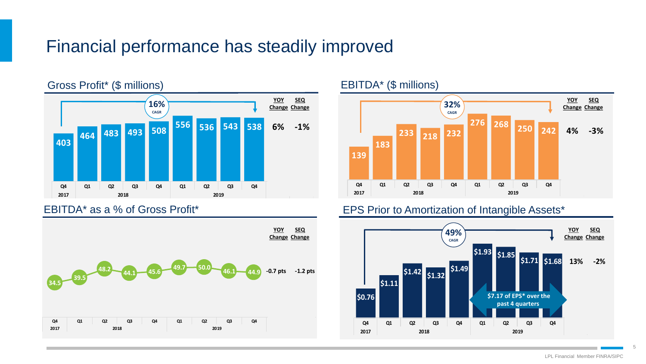### Financial performance has steadily improved







#### EBITDA\* as a % of Gross Profit\* The Contract CEPS Prior to Amortization of Intangible Assets\*

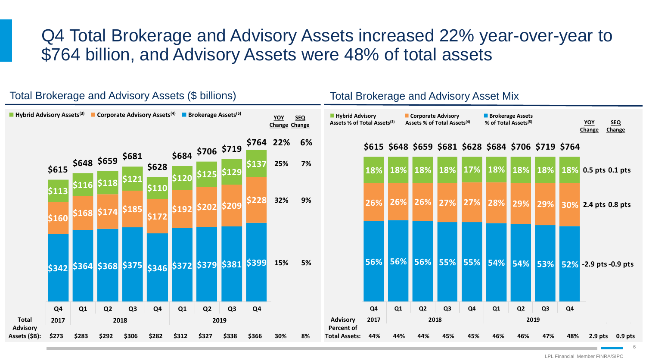### Q4 Total Brokerage and Advisory Assets increased 22% year-over-year to \$764 billion, and Advisory Assets were 48% of total assets



#### Total Brokerage and Advisory Assets (\$ billions) Total Brokerage and Advisory Asset Mix

LPL Financial Member FINRA/SIPC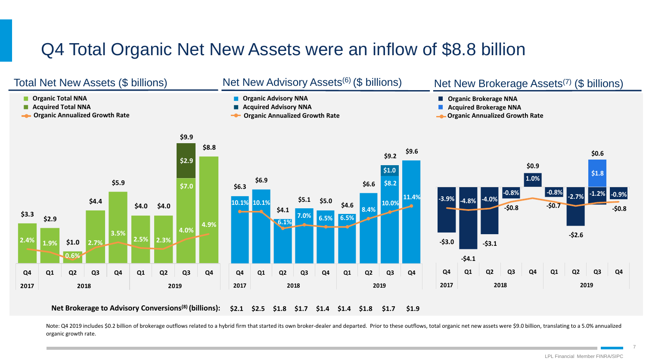### Q4 Total Organic Net New Assets were an inflow of \$8.8 billion



**\$2.1 \$2.5 \$1.8 \$1.7 \$1.4 \$1.4 \$1.8 \$1.7 \$1.9 Net Brokerage to Advisory Conversions(8) (billions):**

Note: Q4 2019 includes \$0.2 billion of brokerage outflows related to a hybrid firm that started its own broker-dealer and departed. Prior to these outflows, total organic net new assets were \$9.0 billion, translating to a organic growth rate.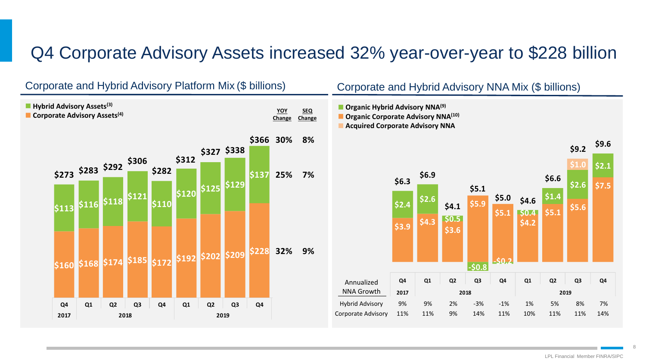### Q4 Corporate Advisory Assets increased 32% year-over-year to \$228 billion

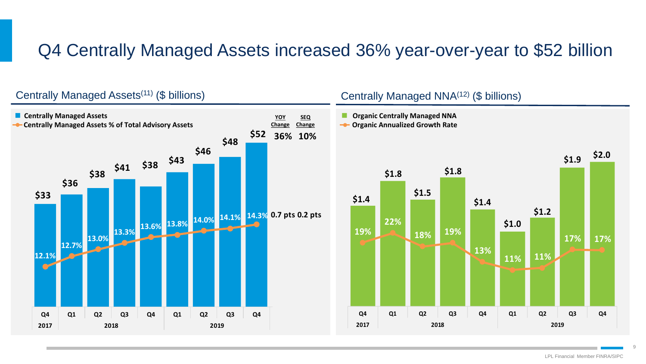### Q4 Centrally Managed Assets increased 36% year-over-year to \$52 billion



#### LPL Financial Member FINRA/SIPC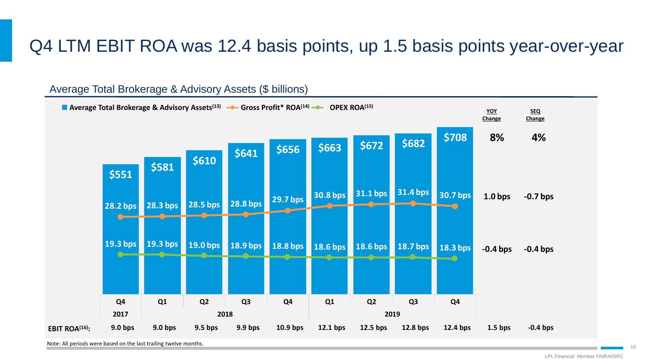### Q4 LTM EBIT ROA was 12.4 basis points, up 1.5 basis points year-over-year

#### Average Total Brokerage & Advisory Assets (\$ billions)



Note: All periods were based on the last trailing twelve months.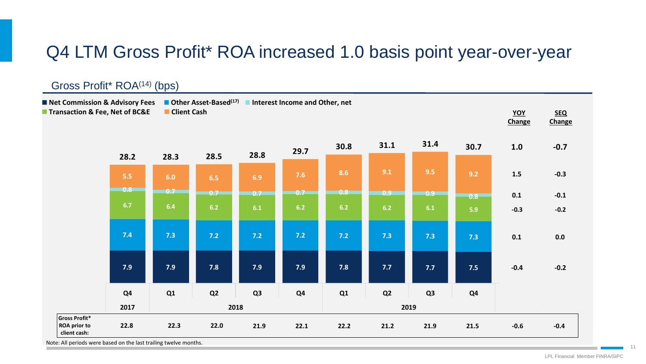### Q4 LTM Gross Profit\* ROA increased 1.0 basis point year-over-year

#### **8.1 8.3 8.9 8.7 8.4 8.6 9.1 8.3 7.1 -1.3 -1.2 7.4 7.2 7.1 7.1 7.2 7.3 7.3 7.3 7.2 0.0 -0.1 6.5 6.0 6.2 6.2 6.1 6.4 6.3 5.9 5.9 -0.2 0.0 5.9 6.0 6.5 7.4 7.5 8.6 10.3 9.1 9.0 1.4 -0.4 27.9 27.5 28.8 29.4 29.2 31.5 33.0 30.9 30.0 0.8 -0.9 Q3 Q4 Q1 Q2 Q3 Q4 Q1 Q2 Q3 2017 2018 2019** Gross Profit\* ROA<sup>(14)</sup> (bps) **YOY Change SEQ Change** ■ Net Commission & Advisory Fees ■ Other Asset-Based<sup>(17)</sup> ■ Interest Income and Other, net ■ **Transaction & Fee, Net of BC&E** ■ Client Cash **Gross Profit\* ROA prior to client cash: 22.8 22.3 22.0 21.9 22.1 22.2 21.2 21.9 21.5 -0.6 -0.4 7.9 7.9 7.8 7.9 7.9 7.8 7.7 7.7 7.5 -0.4 -0.2 7.4 7.3 7.2 7.2 7.2 7.2 7.3 7.3 7.3 0.1 0.0 6.7 6.4 6.2 6.1 6.2 6.2 6.2 6.1 5.9 -0.3 -0.2 0.8 0.7 0.7 0.7 0.7 0.8 0.9 0.9 0.8 0.1 -0.1 5.5 6.0 6.5 6.9 7.6 8.6 9.1 9.5 9.2 1.5 -0.3 28.2 28.3 28.5 28.8 29.7 30.8 31.1 31.4 30.7 1.0 -0.7 Q4 Q1 Q2 Q3 Q4 Q1 Q2 Q3 Q4 2017 2018 2019**

Note: All periods were based on the last trailing twelve months.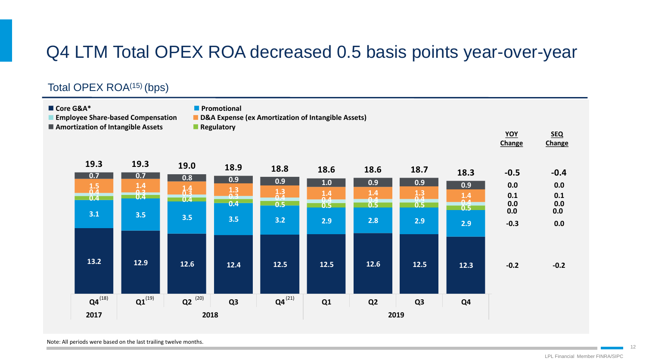## Q4 LTM Total OPEX ROA decreased 0.5 basis points year-over-year

### Total OPEX ROA<sup>(15)</sup> (bps)

| Core G&A*<br><b>Employee Share-based Compensation</b><br>■ Amortization of Intangible Assets |                           |             | <b>Promotional</b><br>Regulatory | D&A Expense (ex Amortization of Intangible Assets) |      |                |                   |                | YOY<br>Change | <b>SEQ</b><br>Change |
|----------------------------------------------------------------------------------------------|---------------------------|-------------|----------------------------------|----------------------------------------------------|------|----------------|-------------------|----------------|---------------|----------------------|
| 19.3<br>0.7                                                                                  | 19.3<br>0.7               | 19.0        | 18.9                             | 18.8                                               | 18.6 | 18.6           | 18.7              | 18.3           | $-0.5$        | $-0.4$               |
| $\frac{1.5}{0.4}$                                                                            | $\boxed{\frac{1.4}{0.3}}$ | 0.8         | 0.9                              | 0.9                                                | 1.0  | 0.9            | 0.9               | 0.9            | 0.0           | 0.0                  |
| 0.4                                                                                          | 0.4                       | 1.4<br>0.4  | $\frac{1.3}{0.3}$                | $\frac{1.3}{0.4}$                                  | 1.4  | $1.4$<br>0.4   | $\frac{1.3}{0.4}$ | $1.4$          | 0.1           | 0.1                  |
|                                                                                              |                           |             | 0.4                              | 0.5                                                | 0.5  | 0.5            | 0.5               | 0.4<br>0.5     | 0.0<br>0.0    | 0.0<br>0.0           |
| 3.1                                                                                          | 3.5                       | 3.5         | 3.5                              | 3.2                                                | 2.9  | 2.8            | 2.9               | 2.9            | $-0.3$        | 0.0                  |
| 13.2                                                                                         | 12.9                      | 12.6        | 12.4                             | $12.5$                                             | 12.5 | $12.6$         | $12.5$            | 12.3           | $-0.2$        | $-0.2$               |
| $Q4^{(18)}$                                                                                  | $Q1^{(19)}$               | $Q2^{(20)}$ | Q <sub>3</sub>                   | $Q4^{(21)}$                                        | Q1   | Q <sub>2</sub> | Q <sub>3</sub>    | Q <sub>4</sub> |               |                      |
| 2017                                                                                         |                           | 2018        |                                  |                                                    |      |                | 2019              |                |               |                      |

Note: All periods were based on the last trailing twelve months.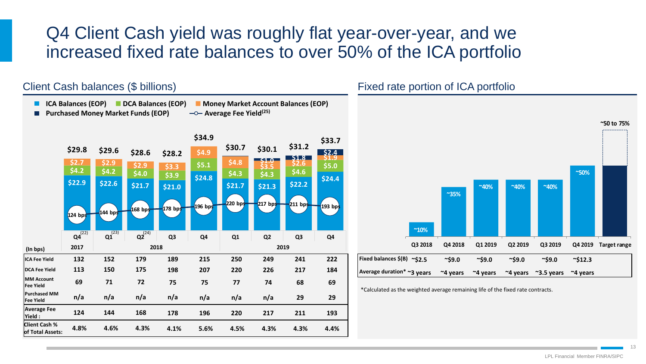### Q4 Client Cash yield was roughly flat year-over-year, and we increased fixed rate balances to over 50% of the ICA portfolio

### Client Cash balances (\$ billions)

**ICA Balances (EOP) DCA Balances (EOP) Money Market Account Balances (EOP) Purchased Money Market Funds (EOP)**  $\longrightarrow$  Average Fee Yield<sup>(25)</sup>



#### Fixed rate portion of ICA portfolio



\*Calculated as the weighted average remaining life of the fixed rate contracts.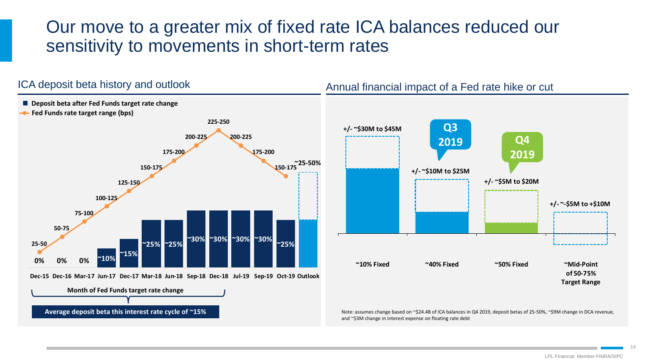### Our move to a greater mix of fixed rate ICA balances reduced our sensitivity to movements in short-term rates

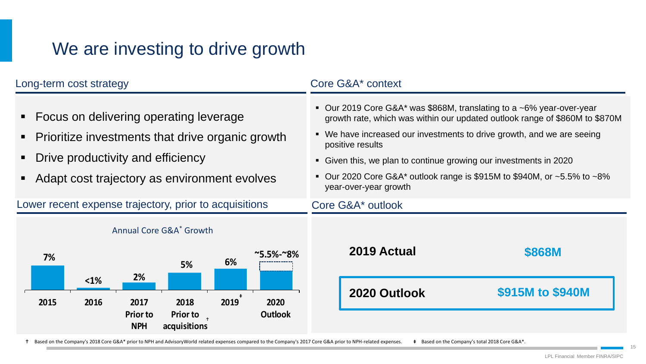## We are investing to drive growth

| Long-term cost strategy                                                                                                                                                             | Core G&A* context                                                                                                                                                                                                                                                                                                                                                                                                                      |
|-------------------------------------------------------------------------------------------------------------------------------------------------------------------------------------|----------------------------------------------------------------------------------------------------------------------------------------------------------------------------------------------------------------------------------------------------------------------------------------------------------------------------------------------------------------------------------------------------------------------------------------|
| • Focus on delivering operating leverage<br>• Prioritize investments that drive organic growth<br>Drive productivity and efficiency<br>Adapt cost trajectory as environment evolves | • Our 2019 Core G&A* was \$868M, translating to a $\sim$ 6% year-over-year<br>growth rate, which was within our updated outlook range of \$860M to \$870M<br>• We have increased our investments to drive growth, and we are seeing<br>positive results<br>• Given this, we plan to continue growing our investments in 2020<br>■ Our 2020 Core G&A* outlook range is \$915M to \$940M, or $~5.5\%$ to $~8\%$<br>year-over-year growth |
| Lower recent expense trajectory, prior to acquisitions                                                                                                                              | Core G&A* outlook                                                                                                                                                                                                                                                                                                                                                                                                                      |
| Annual Core G&A <sup>*</sup> Growth                                                                                                                                                 |                                                                                                                                                                                                                                                                                                                                                                                                                                        |
| $^{\sim}5.5\%$ - $^{\sim}8\%$<br>7%<br>6%<br>5%<br>2%                                                                                                                               | 2019 Actual<br><b>\$868M</b>                                                                                                                                                                                                                                                                                                                                                                                                           |
| $1%$<br>2019<br>2015<br>2016<br>2017<br>2018<br>2020<br><b>Outlook</b><br><b>Prior to</b><br><b>Prior to</b><br><b>NPH</b><br>acquisitions                                          | \$915M to \$940M<br>2020 Outlook                                                                                                                                                                                                                                                                                                                                                                                                       |

Based on the Company's 2018 Core G&A\* prior to NPH and AdvisoryWorld related expenses compared to the Company's 2017 Core G&A prior to NPH-related expenses. Based on the Company's total 2018 Core G&A\*.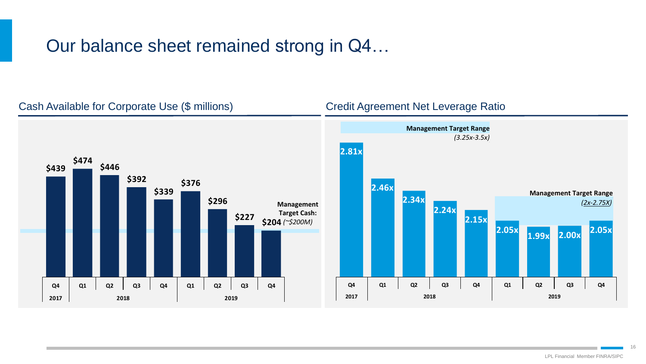### Our balance sheet remained strong in Q4…

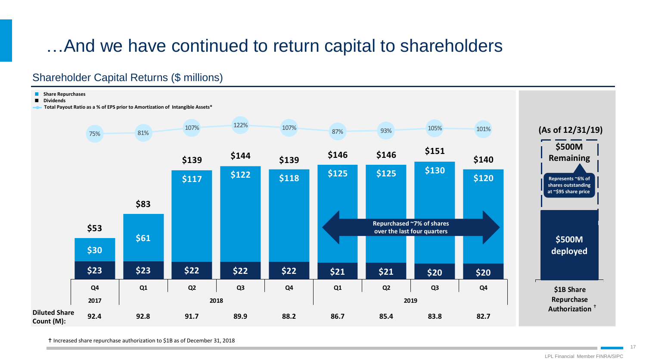## …And we have continued to return capital to shareholders

#### Shareholder Capital Returns (\$ millions)



Increased share repurchase authorization to \$1B as of December 31, 2018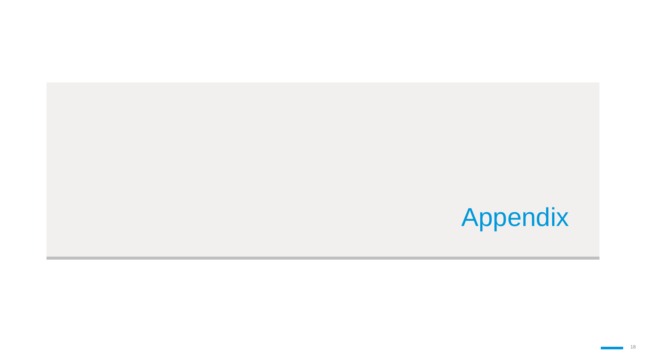# Appendix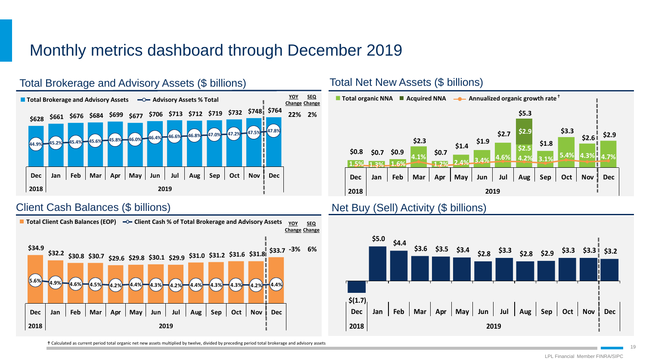### Monthly metrics dashboard through December 2019





Calculated as current period total organic net new assets multiplied by twelve, divided by preceding period total brokerage and advisory assets



#### Client Cash Balances (\$ billions) Net Buy (Sell) Activity (\$ billions)



LPL Financial Member FINRA/SIPC 19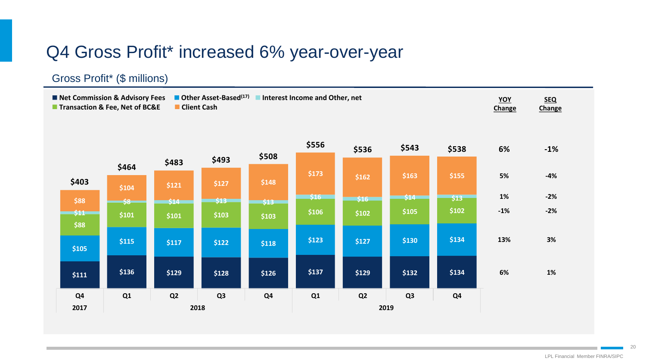### Q4 Gross Profit\* increased 6% year-over-year

#### Gross Profit\* (\$ millions)

**YOY Change SEQ Change Net Commission & Advisory Fees Other Asset-Based(17) Interest Income and Other, net ■ Transaction & Fee, Net of BC&E ■ Client Cash** 

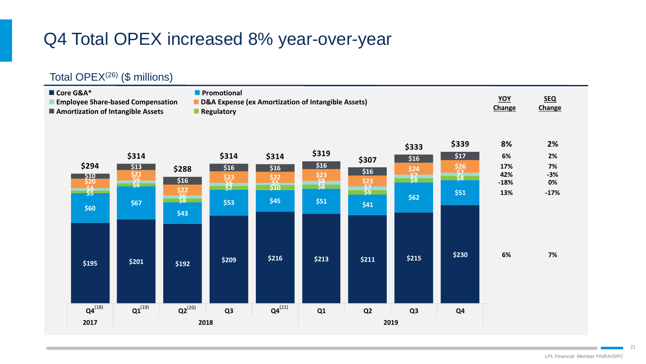## Q4 Total OPEX increased 8% year-over-year

### Total OPEX(26) (\$ millions)

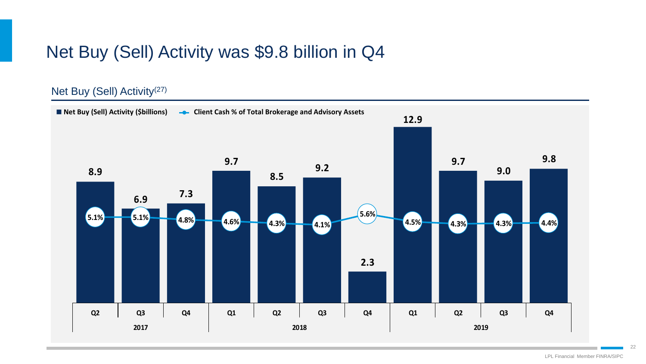### Net Buy (Sell) Activity was \$9.8 billion in Q4

### Net Buy (Sell) Activity<sup>(27)</sup>

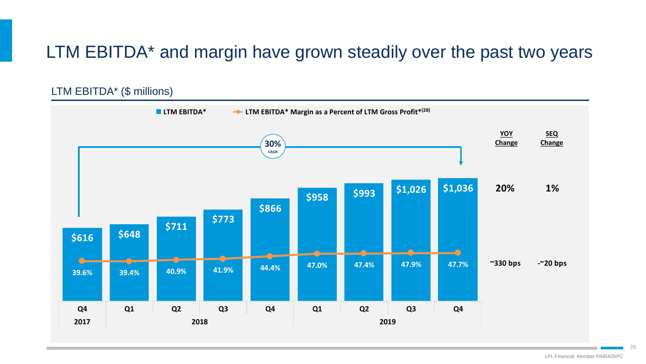### LTM EBITDA\* and margin have grown steadily over the past two years

### LTM EBITDA\* (\$ millions)

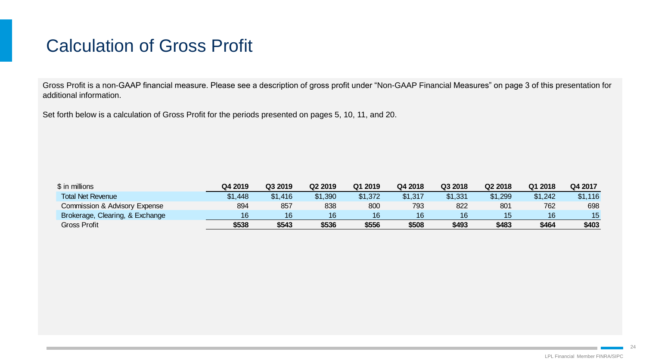### Calculation of Gross Profit

Gross Profit is a non-GAAP financial measure. Please see a description of gross profit under "Non-GAAP Financial Measures" on page 3 of this presentation for additional information.

Set forth below is a calculation of Gross Profit for the periods presented on pages 5, 10, 11, and 20.

| \$ in millions                  | Q4 2019 | Q3 2019 | Q <sub>2</sub> 2019 | Q1 2019 | Q4 2018 | Q3 2018 | Q <sub>2</sub> 2018 | Q1 2018 | Q4 2017 |
|---------------------------------|---------|---------|---------------------|---------|---------|---------|---------------------|---------|---------|
| <b>Total Net Revenue</b>        | \$1,448 | \$1,416 | \$1,390             | \$1,372 | \$1,317 | \$1,331 | \$1,299             | \$1,242 | \$1,116 |
| Commission & Advisory Expense   | 894     | 857     | 838                 | 800     | 793     | 822     | 801                 | 762     | 698     |
| Brokerage, Clearing, & Exchange | 16      | 16      | 16                  | 16      | 16      | 16      | 15                  | 16      | 15      |
| <b>Gross Profit</b>             | \$538   | \$543   | \$536               | \$556   | \$508   | \$493   | \$483               | \$464   | \$403   |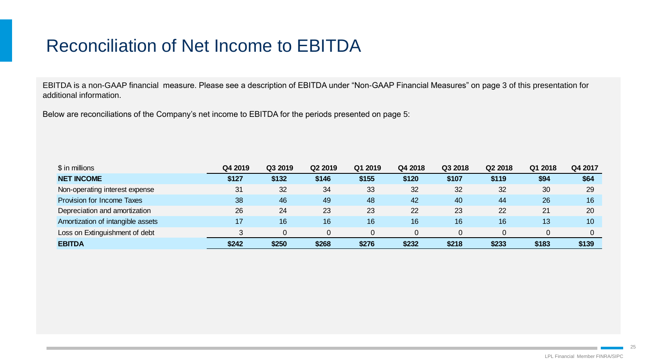## Reconciliation of Net Income to EBITDA

EBITDA is a non-GAAP financial measure. Please see a description of EBITDA under "Non-GAAP Financial Measures" on page 3 of this presentation for additional information.

Below are reconciliations of the Company's net income to EBITDA for the periods presented on page 5:

| \$ in millions                    | Q4 2019 | Q3 2019 | Q2 2019 | Q1 2019 | Q4 2018 | Q3 2018 | Q2 2018 | Q1 2018 | Q4 2017 |
|-----------------------------------|---------|---------|---------|---------|---------|---------|---------|---------|---------|
| <b>NET INCOME</b>                 | \$127   | \$132   | \$146   | \$155   | \$120   | \$107   | \$119   | \$94    | \$64    |
| Non-operating interest expense    | 31      | 32      | 34      | 33      | 32      | 32      | 32      | 30      | 29      |
| Provision for Income Taxes        | 38      | 46      | 49      | 48      | 42      | 40      | 44      | 26      | 16      |
| Depreciation and amortization     | 26      | 24      | 23      | 23      | 22      | 23      | 22      | 21      | 20      |
| Amortization of intangible assets | 17      | 16      | 16      | 16      | 16      | 16      | 16      | 13      | 10      |
| Loss on Extinguishment of debt    |         |         |         |         |         |         |         |         |         |
| <b>EBITDA</b>                     | \$242   | \$250   | \$268   | \$276   | \$232   | \$218   | \$233   | \$183   | \$139   |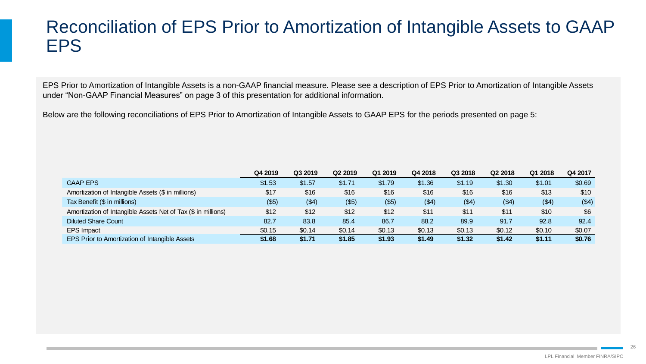### Reconciliation of EPS Prior to Amortization of Intangible Assets to GAAP EPS

EPS Prior to Amortization of Intangible Assets is a non-GAAP financial measure. Please see a description of EPS Prior to Amortization of Intangible Assets under "Non-GAAP Financial Measures" on page 3 of this presentation for additional information.

Below are the following reconciliations of EPS Prior to Amortization of Intangible Assets to GAAP EPS for the periods presented on page 5:

|                                                               | Q4 2019  | Q3 2019 | Q2 2019 | Q1 2019 | Q4 2018 | Q3 2018 | Q2 2018 | Q1 2018 | Q4 2017 |
|---------------------------------------------------------------|----------|---------|---------|---------|---------|---------|---------|---------|---------|
| <b>GAAP EPS</b>                                               | \$1.53   | \$1.57  | \$1.71  | \$1.79  | \$1.36  | \$1.19  | \$1.30  | \$1.01  | \$0.69  |
| Amortization of Intangible Assets (\$ in millions)            | \$17     | \$16    | \$16    | \$16    | \$16    | \$16    | \$16    | \$13    | \$10    |
| Tax Benefit (\$ in millions)                                  | $($ \$5) | ( \$4)  | (\$5)   | (\$5)   | ( \$4)  | ( \$4)  | ( \$4)  | (\$4)   | ( \$4)  |
| Amortization of Intangible Assets Net of Tax (\$ in millions) | \$12     | \$12    | \$12    | \$12    | \$11    | \$11    | \$11    | \$10    | \$6     |
| <b>Diluted Share Count</b>                                    | 82.7     | 83.8    | 85.4    | 86.7    | 88.2    | 89.9    | 91.7    | 92.8    | 92.4    |
| <b>EPS Impact</b>                                             | \$0.15   | \$0.14  | \$0.14  | \$0.13  | \$0.13  | \$0.13  | \$0.12  | \$0.10  | \$0.07  |
| EPS Prior to Amortization of Intangible Assets                | \$1.68   | \$1.71  | \$1.85  | \$1.93  | \$1.49  | \$1.32  | \$1.42  | \$1.11  | \$0.76  |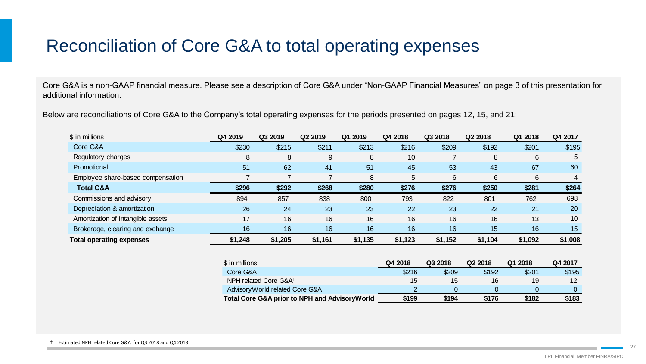## Reconciliation of Core G&A to total operating expenses

Core G&A is a non-GAAP financial measure. Please see a description of Core G&A under "Non-GAAP Financial Measures" on page 3 of this presentation for additional information.

Below are reconciliations of Core G&A to the Company's total operating expenses for the periods presented on pages 12, 15, and 21:

| \$ in millions                    | Q4 2019 | Q3 2019 | Q2 2019 | Q1 2019 | Q4 2018 | Q3 2018 | Q2 2018 | Q1 2018 | Q4 2017   |
|-----------------------------------|---------|---------|---------|---------|---------|---------|---------|---------|-----------|
| Core G&A                          | \$230   | \$215   | \$211   | \$213   | \$216   | \$209   | \$192   | \$201   | \$195     |
| Regulatory charges                | 8       | 8       | 9       | 8       | 10      |         | 8       | 6       | 5         |
| Promotional                       | 51      | 62      | 41      | 51      | 45      | 53      | 43      | 67      | 60        |
| Employee share-based compensation |         |         |         | 8       | 5       | 6       | 6       | 6       | 4         |
| <b>Total G&amp;A</b>              | \$296   | \$292   | \$268   | \$280   | \$276   | \$276   | \$250   | \$281   | \$264     |
| Commissions and advisory          | 894     | 857     | 838     | 800     | 793     | 822     | 801     | 762     | 698       |
| Depreciation & amortization       | 26      | 24      | 23      | 23      | 22      | 23      | 22      | 21      | <b>20</b> |
| Amortization of intangible assets | 17      | 16      | 16      | 16      | 16      | 16      | 16      | 13      | 10        |
| Brokerage, clearing and exchange  | 16      | 16      | 16      | 16      | 16      | 16      | 15      | 16      | 15        |
| <b>Total operating expenses</b>   | \$1,248 | \$1,205 | \$1,161 | \$1,135 | \$1,123 | \$1,152 | \$1,104 | \$1,092 | \$1,008   |
|                                   |         |         |         |         |         |         |         |         |           |

| \$ in millions                                | Q4 2018 | Q3 2018 | Q <sub>2</sub> 2018 | Q1 2018 | Q4 2017 |
|-----------------------------------------------|---------|---------|---------------------|---------|---------|
| Core G&A                                      | \$216   | \$209   | \$192               | \$201   | \$195   |
| NPH related Core G&A <sup>+</sup>             | 15      | 15      | 16                  | 19      | 12      |
| Advisory World related Core G&A               |         |         |                     |         |         |
| Total Core G&A prior to NPH and AdvisoryWorld | \$199   | \$194   | \$176               | \$182   | \$183   |